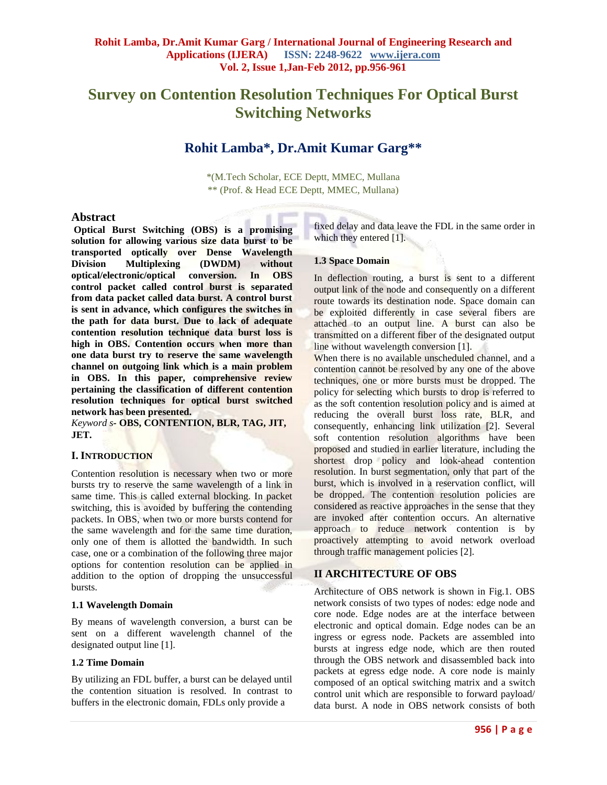# **Survey on Contention Resolution Techniques For Optical Burst Switching Networks**

## **Rohit Lamba\* , Dr.Amit Kumar Garg\*\***

\*(M.Tech Scholar, ECE Deptt, MMEC, Mullana \*\* (Prof. & Head ECE Deptt, MMEC, Mullana)

## **Abstract**

**Optical Burst Switching (OBS) is a promising solution for allowing various size data burst to be transported optically over Dense Wavelength Division Multiplexing (DWDM) without optical/electronic/optical conversion. In OBS control packet called control burst is separated from data packet called data burst. A control burst is sent in advance, which configures the switches in the path for data burst. Due to lack of adequate contention resolution technique data burst loss is high in OBS. Contention occurs when more than one data burst try to reserve the same wavelength channel on outgoing link which is a main problem in OBS. In this paper, comprehensive review pertaining the classification of different contention resolution techniques for optical burst switched network has been presented.**

*Keyword s-* **OBS, CONTENTION, BLR, TAG, JIT, JET.**

## **I. INTRODUCTION**

Contention resolution is necessary when two or more bursts try to reserve the same wavelength of a link in same time. This is called external blocking. In packet switching, this is avoided by buffering the contending packets. In OBS, when two or more bursts contend for the same wavelength and for the same time duration, only one of them is allotted the bandwidth. In such case, one or a combination of the following three major options for contention resolution can be applied in addition to the option of dropping the unsuccessful bursts.

#### **1.1 Wavelength Domain**

By means of wavelength conversion, a burst can be sent on a different wavelength channel of the designated output line [1].

## **1.2 Time Domain**

By utilizing an FDL buffer, a burst can be delayed until the contention situation is resolved. In contrast to buffers in the electronic domain, FDLs only provide a

fixed delay and data leave the FDL in the same order in which they entered [1].

#### **1.3 Space Domain**

In deflection routing, a burst is sent to a different output link of the node and consequently on a different route towards its destination node. Space domain can be exploited differently in case several fibers are attached to an output line. A burst can also be transmitted on a different fiber of the designated output line without wavelength conversion [1].

When there is no available unscheduled channel, and a contention cannot be resolved by any one of the above techniques, one or more bursts must be dropped. The policy for selecting which bursts to drop is referred to as the soft contention resolution policy and is aimed at reducing the overall burst loss rate, BLR, and consequently, enhancing link utilization [2]. Several soft contention resolution algorithms have been proposed and studied in earlier literature, including the shortest drop policy and look-ahead contention resolution. In burst segmentation, only that part of the burst, which is involved in a reservation conflict, will be dropped. The contention resolution policies are considered as reactive approaches in the sense that they are invoked after contention occurs. An alternative approach to reduce network contention is by proactively attempting to avoid network overload through traffic management policies [2].

## **II ARCHITECTURE OF OBS**

Architecture of OBS network is shown in Fig.1. OBS network consists of two types of nodes: edge node and core node. Edge nodes are at the interface between electronic and optical domain. Edge nodes can be an ingress or egress node. Packets are assembled into bursts at ingress edge node, which are then routed through the OBS network and disassembled back into packets at egress edge node. A core node is mainly composed of an optical switching matrix and a switch control unit which are responsible to forward payload/ data burst. A node in OBS network consists of both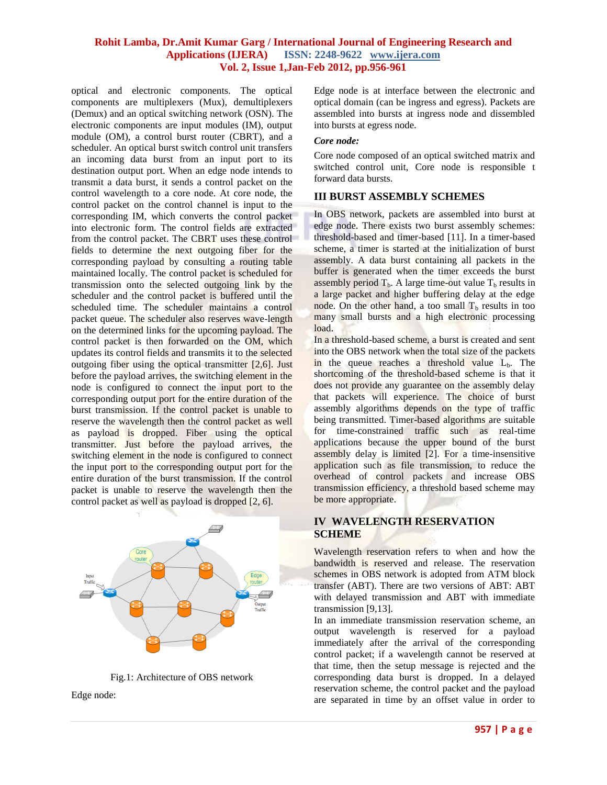optical and electronic components. The optical components are multiplexers (Mux), demultiplexers (Demux) and an optical switching network (OSN). The electronic components are input modules (IM), output module (OM), a control burst router (CBRT), and a scheduler. An optical burst switch control unit transfers an incoming data burst from an input port to its destination output port. When an edge node intends to transmit a data burst, it sends a control packet on the control wavelength to a core node. At core node, the control packet on the control channel is input to the corresponding IM, which converts the control packet into electronic form. The control fields are extracted from the control packet. The CBRT uses these control fields to determine the next outgoing fiber for the corresponding payload by consulting a routing table maintained locally. The control packet is scheduled for transmission onto the selected outgoing link by the scheduler and the control packet is buffered until the scheduled time. The scheduler maintains a control packet queue. The scheduler also reserves wave-length on the determined links for the upcoming payload. The control packet is then forwarded on the OM, which updates its control fields and transmits it to the selected outgoing fiber using the optical transmitter [2,6]. Just before the payload arrives, the switching element in the node is configured to connect the input port to the corresponding output port for the entire duration of the burst transmission. If the control packet is unable to reserve the wavelength then the control packet as well as payload is dropped. Fiber using the optical transmitter. Just before the payload arrives, the switching element in the node is configured to connect the input port to the corresponding output port for the entire duration of the burst transmission. If the control packet is unable to reserve the wavelength then the control packet as well as payload is dropped [2, 6].



Fig.1: Architecture of OBS network

Edge node:

Edge node is at interface between the electronic and optical domain (can be ingress and egress). Packets are assembled into bursts at ingress node and dissembled into bursts at egress node.

#### *Core node:*

Core node composed of an optical switched matrix and switched control unit, Core node is responsible t forward data bursts.

## **III BURST ASSEMBLY SCHEMES**

In OBS network, packets are assembled into burst at edge node. There exists two burst assembly schemes: threshold-based and timer-based [11]. In a timer-based scheme, a timer is started at the initialization of burst assembly. A data burst containing all packets in the buffer is generated when the timer exceeds the burst assembly period  $T_b$ . A large time-out value  $T_b$  results in a large packet and higher buffering delay at the edge node. On the other hand, a too small  $T<sub>b</sub>$  results in too many small bursts and a high electronic processing load.

In a threshold-based scheme, a burst is created and sent into the OBS network when the total size of the packets in the queue reaches a threshold value  $L<sub>b</sub>$ . The shortcoming of the threshold-based scheme is that it does not provide any guarantee on the assembly delay that packets will experience. The choice of burst assembly algorithms depends on the type of traffic being transmitted. Timer-based algorithms are suitable for time-constrained traffic such as real-time applications because the upper bound of the burst assembly delay is limited [2]. For a time-insensitive application such as file transmission, to reduce the overhead of control packets and increase OBS transmission efficiency, a threshold based scheme may be more appropriate.

## **IV WAVELENGTH RESERVATION SCHEME**

Wavelength reservation refers to when and how the bandwidth is reserved and release. The reservation schemes in OBS network is adopted from ATM block transfer (ABT). There are two versions of ABT: ABT with delayed transmission and ABT with immediate transmission [9,13].

In an immediate transmission reservation scheme, an output wavelength is reserved for a payload immediately after the arrival of the corresponding control packet; if a wavelength cannot be reserved at that time, then the setup message is rejected and the corresponding data burst is dropped. In a delayed reservation scheme, the control packet and the payload are separated in time by an offset value in order to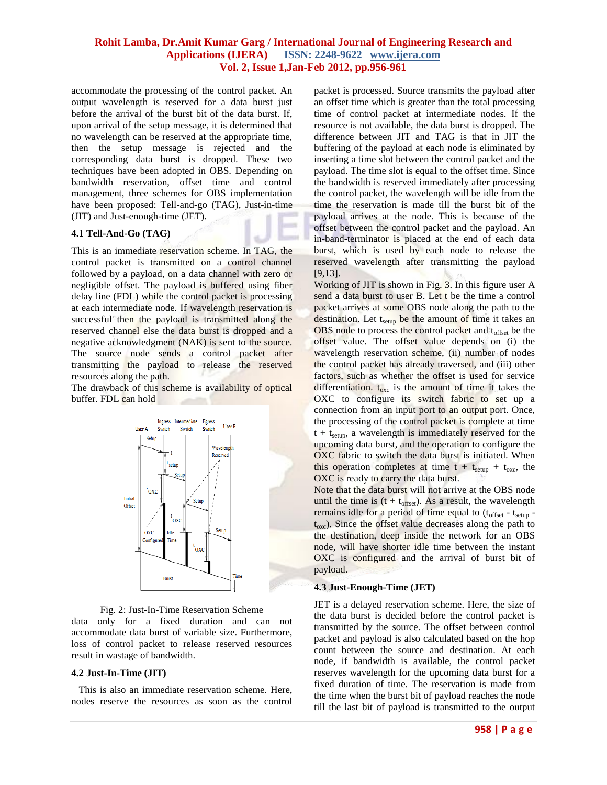accommodate the processing of the control packet. An output wavelength is reserved for a data burst just before the arrival of the burst bit of the data burst. If, upon arrival of the setup message, it is determined that no wavelength can be reserved at the appropriate time, then the setup message is rejected and the corresponding data burst is dropped. These two techniques have been adopted in OBS. Depending on bandwidth reservation, offset time and control management, three schemes for OBS implementation have been proposed: Tell-and-go (TAG), Just-in-time (JIT) and Just-enough-time (JET).

#### **4.1 Tell-And-Go (TAG)**

This is an immediate reservation scheme. In TAG, the control packet is transmitted on a control channel followed by a payload, on a data channel with zero or negligible offset. The payload is buffered using fiber delay line (FDL) while the control packet is processing at each intermediate node. If wavelength reservation is successful then the payload is transmitted along the reserved channel else the data burst is dropped and a negative acknowledgment (NAK) is sent to the source. The source node sends a control packet after transmitting the payload to release the reserved resources along the path.

The drawback of this scheme is availability of optical buffer. FDL can hold



Fig. 2: Just-In-Time Reservation Scheme

data only for a fixed duration and can not accommodate data burst of variable size. Furthermore, loss of control packet to release reserved resources result in wastage of bandwidth.

#### **4.2 Just-In-Time (JIT)**

 This is also an immediate reservation scheme. Here, nodes reserve the resources as soon as the control packet is processed. Source transmits the payload after an offset time which is greater than the total processing time of control packet at intermediate nodes. If the resource is not available, the data burst is dropped. The difference between JIT and TAG is that in JIT the buffering of the payload at each node is eliminated by inserting a time slot between the control packet and the payload. The time slot is equal to the offset time. Since the bandwidth is reserved immediately after processing the control packet, the wavelength will be idle from the time the reservation is made till the burst bit of the payload arrives at the node. This is because of the offset between the control packet and the payload. An in-band-terminator is placed at the end of each data burst, which is used by each node to release the reserved wavelength after transmitting the payload [9,13].

Working of JIT is shown in Fig. 3. In this figure user A send a data burst to user B. Let t be the time a control packet arrives at some OBS node along the path to the destination. Let  $t<sub>setup</sub>$  be the amount of time it takes an OBS node to process the control packet and t<sub>offset</sub> be the offset value. The offset value depends on (i) the wavelength reservation scheme, (ii) number of nodes the control packet has already traversed, and (iii) other factors, such as whether the offset is used for service differentiation.  $t_{\text{osc}}$  is the amount of time it takes the OXC to configure its switch fabric to set up a connection from an input port to an output port. Once, the processing of the control packet is complete at time  $t + t<sub>setup</sub>$ , a wavelength is immediately reserved for the upcoming data burst, and the operation to configure the OXC fabric to switch the data burst is initiated. When this operation completes at time  $t + t<sub>setup</sub> + t<sub>oxc</sub>$ , the OXC is ready to carry the data burst.

Note that the data burst will not arrive at the OBS node until the time is  $(t + t_{offset})$ . As a result, the wavelength remains idle for a period of time equal to  $(t_{\text{offset}} - t_{\text{setup}}$  $t_{\rm exc}$ ). Since the offset value decreases along the path to the destination, deep inside the network for an OBS node, will have shorter idle time between the instant OXC is configured and the arrival of burst bit of payload.

#### **4.3 Just-Enough-Time (JET)**

JET is a delayed reservation scheme. Here, the size of the data burst is decided before the control packet is transmitted by the source. The offset between control packet and payload is also calculated based on the hop count between the source and destination. At each node, if bandwidth is available, the control packet reserves wavelength for the upcoming data burst for a fixed duration of time. The reservation is made from the time when the burst bit of payload reaches the node till the last bit of payload is transmitted to the output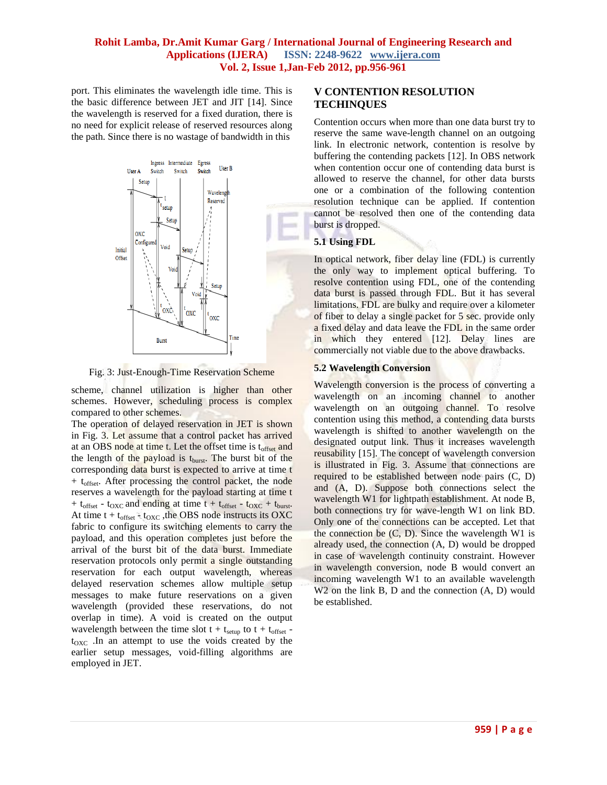port. This eliminates the wavelength idle time. This is the basic difference between JET and JIT [14]. Since the wavelength is reserved for a fixed duration, there is no need for explicit release of reserved resources along the path. Since there is no wastage of bandwidth in this



Fig. 3: Just-Enough-Time Reservation Scheme

scheme, channel utilization is higher than other schemes. However, scheduling process is complex compared to other schemes.

The operation of delayed reservation in JET is shown in Fig. 3. Let assume that a control packet has arrived at an OBS node at time t. Let the offset time is toffset and the length of the payload is  $t_{burst}$ . The burst bit of the corresponding data burst is expected to arrive at time t  $+ t_{offset}$ . After processing the control packet, the node reserves a wavelength for the payload starting at time t +  $t_{offset}$  -  $t_{OXC}$  and ending at time  $t + t_{offset}$  -  $t_{OXC}$  +  $t_{burst}$ . At time  $t + t_{offset} - t_{OXC}$ , the OBS node instructs its OXC fabric to configure its switching elements to carry the payload, and this operation completes just before the arrival of the burst bit of the data burst. Immediate reservation protocols only permit a single outstanding reservation for each output wavelength, whereas delayed reservation schemes allow multiple setup messages to make future reservations on a given wavelength (provided these reservations, do not overlap in time). A void is created on the output wavelength between the time slot  $t + t_{\text{setup}}$  to  $t + t_{\text{offset}}$   $t<sub>OXC</sub>$ . In an attempt to use the voids created by the earlier setup messages, void-filling algorithms are employed in JET.

## **V CONTENTION RESOLUTION TECHINQUES**

Contention occurs when more than one data burst try to reserve the same wave-length channel on an outgoing link. In electronic network, contention is resolve by buffering the contending packets [12]. In OBS network when contention occur one of contending data burst is allowed to reserve the channel, for other data bursts one or a combination of the following contention resolution technique can be applied. If contention cannot be resolved then one of the contending data burst is dropped.

## **5.1 Using FDL**

In optical network, fiber delay line (FDL) is currently the only way to implement optical buffering. To resolve contention using FDL, one of the contending data burst is passed through FDL. But it has several limitations. FDL are bulky and require over a kilometer of fiber to delay a single packet for 5 sec. provide only a fixed delay and data leave the FDL in the same order in which they entered [12]. Delay lines are commercially not viable due to the above drawbacks.

## **5.2 Wavelength Conversion**

Wavelength conversion is the process of converting a wavelength on an incoming channel to another wavelength on an outgoing channel. To resolve contention using this method, a contending data bursts wavelength is shifted to another wavelength on the designated output link. Thus it increases wavelength reusability [15]. The concept of wavelength conversion is illustrated in Fig. 3. Assume that connections are required to be established between node pairs (C, D) and (A, D). Suppose both connections select the wavelength W1 for lightpath establishment. At node B, both connections try for wave-length W1 on link BD. Only one of the connections can be accepted. Let that the connection be  $(C, D)$ . Since the wavelength W1 is already used, the connection (A, D) would be dropped in case of wavelength continuity constraint. However in wavelength conversion, node B would convert an incoming wavelength W1 to an available wavelength W<sub>2</sub> on the link B, D and the connection  $(A, D)$  would be established.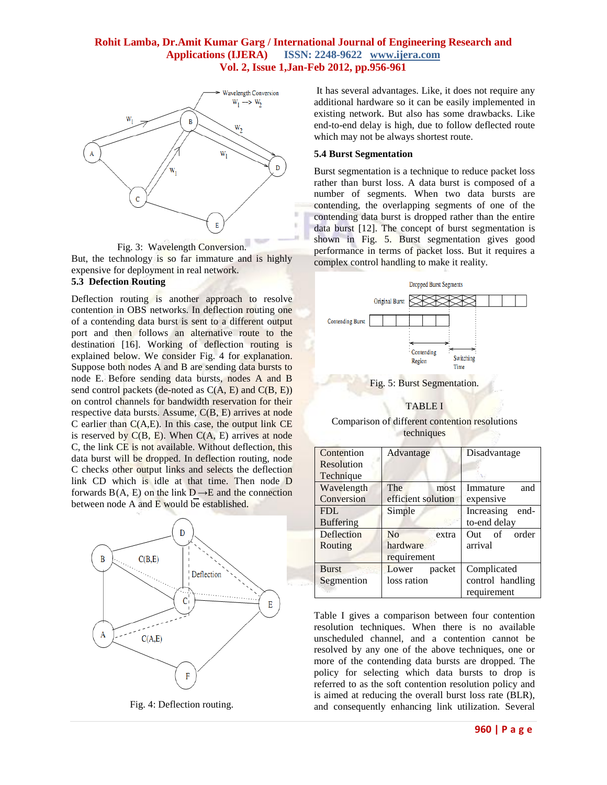

Fig. 3: Wavelength Conversion. But, the technology is so far immature and is highly expensive for deployment in real network. **5.3 Defection Routing**

Deflection routing is another approach to resolve contention in OBS networks. In deflection routing one of a contending data burst is sent to a different output port and then follows an alternative route to the destination [16]. Working of deflection routing is explained below. We consider Fig. 4 for explanation. Suppose both nodes A and B are sending data bursts to node E. Before sending data bursts, nodes A and B send control packets (de-noted as  $C(A, E)$  and  $C(B, E)$ ) on control channels for bandwidth reservation for their respective data bursts. Assume, C(B, E) arrives at node C earlier than  $C(A,E)$ . In this case, the output link  $CE$ is reserved by  $C(B, E)$ . When  $C(A, E)$  arrives at node C, the link CE is not available. Without deflection, this data burst will be dropped. In deflection routing, node C checks other output links and selects the deflection link CD which is idle at that time. Then node D forwards  $B(A, E)$  on the link  $D \rightarrow E$  and the connection between node A and E would be established.



Fig. 4: Deflection routing.

It has several advantages. Like, it does not require any additional hardware so it can be easily implemented in existing network. But also has some drawbacks. Like end-to-end delay is high, due to follow deflected route which may not be always shortest route.

#### **5.4 Burst Segmentation**

Burst segmentation is a technique to reduce packet loss rather than burst loss. A data burst is composed of a number of segments. When two data bursts are contending, the overlapping segments of one of the contending data burst is dropped rather than the entire data burst [12]. The concept of burst segmentation is shown in Fig. 5. Burst segmentation gives good performance in terms of packet loss. But it requires a complex control handling to make it reality.



Fig. 5: Burst Segmentation.

#### TABLE I

Comparison of different contention resolutions techniques

| Contention       | Advantage               | Disadvantage       |
|------------------|-------------------------|--------------------|
| Resolution       |                         |                    |
| Technique        |                         |                    |
| Wavelength       | The<br>most             | Immature<br>and    |
| Conversion       | efficient solution      | expensive          |
| FDI.             | Simple                  | Increasing<br>end- |
| <b>Buffering</b> |                         | to-end delay       |
| Deflection       | N <sub>0</sub><br>extra | Out of<br>order    |
| Routing          | hardware                | arrival            |
|                  | requirement             |                    |
| <b>Burst</b>     | Lower<br>packet         | Complicated        |
| Segmention       | loss ration             | control handling   |
|                  |                         | requirement        |

Table I gives a comparison between four contention resolution techniques. When there is no available unscheduled channel, and a contention cannot be resolved by any one of the above techniques, one or more of the contending data bursts are dropped. The policy for selecting which data bursts to drop is referred to as the soft contention resolution policy and is aimed at reducing the overall burst loss rate (BLR), and consequently enhancing link utilization. Several